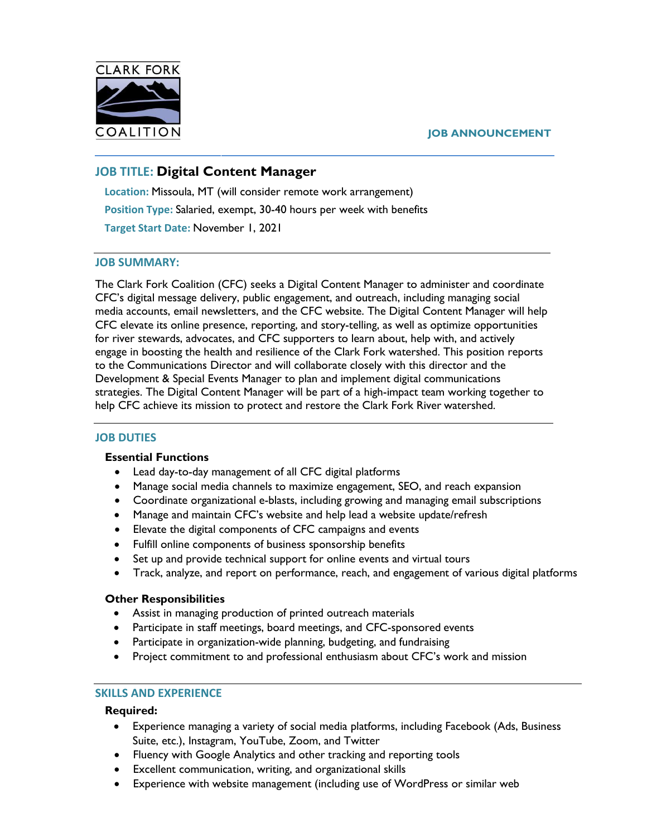

#### **JOB ANNOUNCEMENT**

# **JOB TITLE: Digital Content Manager**

**Location:** Missoula, MT (will consider remote work arrangement) **Position Type:** Salaried, exempt, 30-40 hours per week with benefits **Target Start Date:** November 1, 2021

### **JOB SUMMARY:**

The Clark Fork Coalition (CFC) seeks a Digital Content Manager to administer and coordinate CFC's digital message delivery, public engagement, and outreach, including managing social media accounts, email newsletters, and the CFC website. The Digital Content Manager will help CFC elevate its online presence, reporting, and story-telling, as well as optimize opportunities for river stewards, advocates, and CFC supporters to learn about, help with, and actively engage in boosting the health and resilience of the Clark Fork watershed. This position reports to the Communications Director and will collaborate closely with this director and the Development & Special Events Manager to plan and implement digital communications strategies. The Digital Content Manager will be part of a high-impact team working together to help CFC achieve its mission to protect and restore the Clark Fork River watershed.

#### **JOB DUTIES**

#### **Essential Functions**

- Lead day-to-day management of all CFC digital platforms
- Manage social media channels to maximize engagement, SEO, and reach expansion
- Coordinate organizational e-blasts, including growing and managing email subscriptions
- Manage and maintain CFC's website and help lead a website update/refresh
- Elevate the digital components of CFC campaigns and events
- Fulfill online components of business sponsorship benefits
- Set up and provide technical support for online events and virtual tours
- Track, analyze, and report on performance, reach, and engagement of various digital platforms

#### **Other Responsibilities**

- Assist in managing production of printed outreach materials
- Participate in staff meetings, board meetings, and CFC-sponsored events
- Participate in organization-wide planning, budgeting, and fundraising
- Project commitment to and professional enthusiasm about CFC's work and mission

### **SKILLS AND EXPERIENCE**

#### **Required:**

- Experience managing a variety of social media platforms, including Facebook (Ads, Business Suite, etc.), Instagram, YouTube, Zoom, and Twitter
- Fluency with Google Analytics and other tracking and reporting tools
- Excellent communication, writing, and organizational skills
- Experience with website management (including use of WordPress or similar web